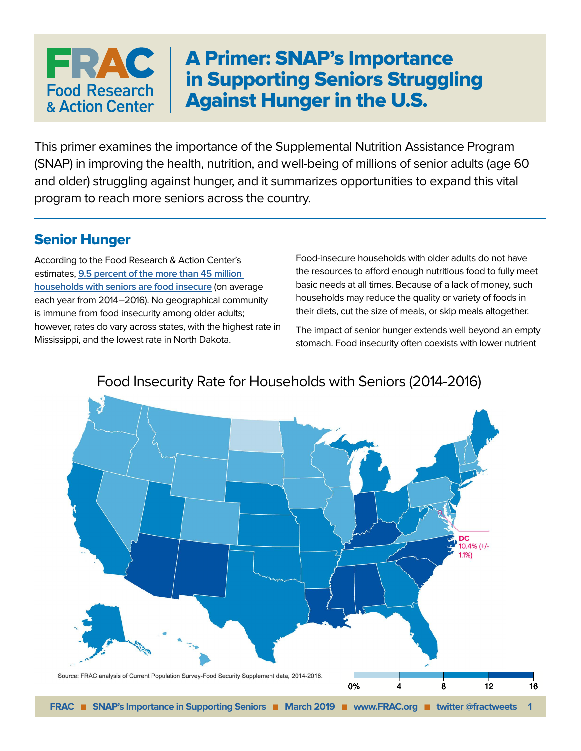# A Primer: SNAP's Importance in Supporting Seniors Struggling Against Hunger in the U.S.

This primer examines the importance of the Supplemental Nutrition Assistance Program (SNAP) in improving the health, nutrition, and well-being of millions of senior adults (age 60 and older) struggling against hunger, and it summarizes opportunities to expand this vital program to reach more seniors across the country.

### Senior Hunger

FRAC

**Food Research** & Action Center

According to the Food Research & Action Center's estimates, **[9.5 percent of the more than 45 million](http://www.frac.org/maps/seniors/seniors.html)  [households with seniors are food insecure](http://www.frac.org/maps/seniors/seniors.html)** (on average each year from 2014–2016). No geographical community is immune from food insecurity among older adults; however, rates do vary across states, with the highest rate in Mississippi, and the lowest rate in North Dakota.

Food-insecure households with older adults do not have the resources to afford enough nutritious food to fully meet basic needs at all times. Because of a lack of money, such households may reduce the quality or variety of foods in their diets, cut the size of meals, or skip meals altogether.

The impact of senior hunger extends well beyond an empty stomach. Food insecurity often coexists with lower nutrient

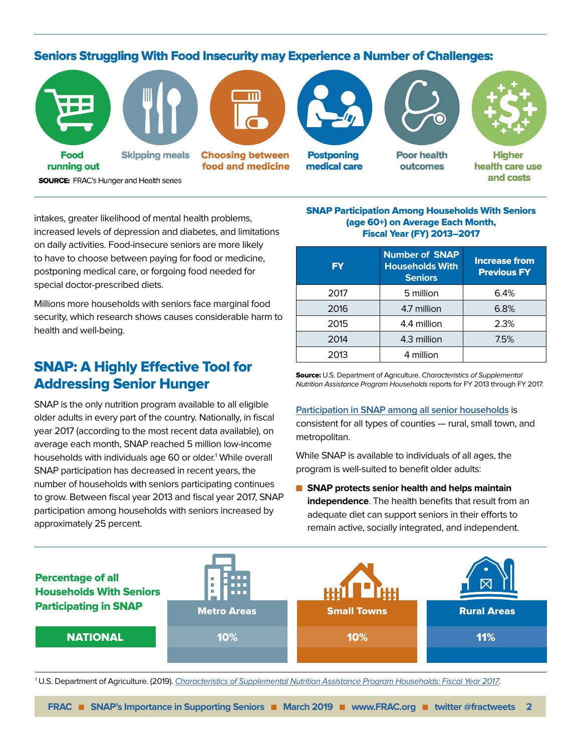#### **Seniors Struggling With Food Insecurity may Experience a Number of Challenges:**



**SOURCE:** FRAC's Hunger and Health series

intakes, greater likelihood of mental health problems, increased levels of depression and diabetes, and limitations on daily activities. Food-insecure seniors are more likely to have to choose between paying for food or medicine, postponing medical care, or forgoing food needed for special doctor-prescribed diets.

Millions more households with seniors face marginal food security, which research shows causes considerable harm to health and well-being.

# SNAP: A Highly Effective Tool for Addressing Senior Hunger

SNAP is the only nutrition program available to all eligible older adults in every part of the country. Nationally, in fiscal year 2017 (according to the most recent data available), on average each month, SNAP reached 5 million low-income households with individuals age 60 or older.<sup>1</sup> While overall SNAP participation has decreased in recent years, the number of households with seniors participating continues to grow. Between fiscal year 2013 and fiscal year 2017, SNAP participation among households with seniors increased by approximately 25 percent.

SNAP Participation Among Households With Seniors (age 60+) on Average Each Month, Fiscal Year (FY) 2013–2017

| <b>FY</b> | <b>Number of SNAP</b><br><b>Households With</b><br><b>Seniors</b> | <b>Increase from</b><br><b>Previous FY</b> |
|-----------|-------------------------------------------------------------------|--------------------------------------------|
| 2017      | 5 million                                                         | 6.4%                                       |
| 2016      | 4.7 million                                                       | 6.8%                                       |
| 2015      | 4.4 million                                                       | 2.3%                                       |
| 2014      | 4.3 million<br>7.5%                                               |                                            |
| 2013      | 4 million                                                         |                                            |

Source: U.S. Department of Agriculture. Characteristics of Supplemental Nutrition Assistance Program Households reports for FY 2013 through FY 2017.

### **[Participation in SNAP among all senior households](http://www.frac.org/wp-content/uploads/senior-snap-maps-meta-analysis.pdf)** is

consistent for all types of counties — rural, small town, and metropolitan.

While SNAP is available to individuals of all ages, the program is well-suited to benefit older adults:

**n** SNAP protects senior health and helps maintain **independence**. The health benefits that result from an adequate diet can support seniors in their efforts to remain active, socially integrated, and independent.



<sup>1</sup> U.S. Department of Agriculture. (2019). *[Characteristics of Supplemental Nutrition Assistance Program Households: Fiscal Year 2017](https://fns-prod.azureedge.net/sites/default/files/ops/Characteristics2017.pdf#page=16)*.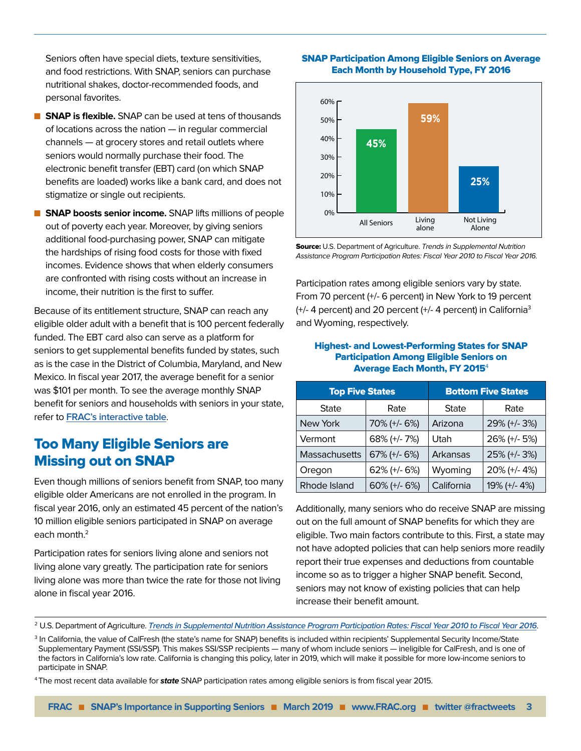Seniors often have special diets, texture sensitivities, and food restrictions. With SNAP, seniors can purchase nutritional shakes, doctor-recommended foods, and personal favorites.

- **n SNAP is flexible.** SNAP can be used at tens of thousands of locations across the nation — in regular commercial channels — at grocery stores and retail outlets where seniors would normally purchase their food. The electronic benefit transfer (EBT) card (on which SNAP benefits are loaded) works like a bank card, and does not stigmatize or single out recipients.
- **n** SNAP boosts senior income. SNAP lifts millions of people out of poverty each year. Moreover, by giving seniors additional food-purchasing power, SNAP can mitigate the hardships of rising food costs for those with fixed incomes. Evidence shows that when elderly consumers are confronted with rising costs without an increase in income, their nutrition is the first to suffer.

Because of its entitlement structure, SNAP can reach any eligible older adult with a benefit that is 100 percent federally funded. The EBT card also can serve as a platform for seniors to get supplemental benefits funded by states, such as is the case in the District of Columbia, Maryland, and New Mexico. In fiscal year 2017, the average benefit for a senior was \$101 per month. To see the average monthly SNAP benefit for seniors and households with seniors in your state, refer to **[FRAC's interactive table](http://www.frac.org/maps/seniors/tables/sr_snap_benefits_fy2017.html)**.

### Too Many Eligible Seniors are Missing out on SNAP

Even though millions of seniors benefit from SNAP, too many eligible older Americans are not enrolled in the program. In fiscal year 2016, only an estimated 45 percent of the nation's 10 million eligible seniors participated in SNAP on average each month.<sup>2</sup>

Participation rates for seniors living alone and seniors not living alone vary greatly. The participation rate for seniors living alone was more than twice the rate for those not living alone in fiscal year 2016.

#### SNAP Participation Among Eligible Seniors on Average Each Month by Household Type, FY 2016



Source: U.S. Department of Agriculture. Trends in Supplemental Nutrition Assistance Program Participation Rates: Fiscal Year 2010 to Fiscal Year 2016.

Participation rates among eligible seniors vary by state. From 70 percent (+/- 6 percent) in New York to 19 percent (+/- 4 percent) and 20 percent (+/- 4 percent) in California3 and Wyoming, respectively.

#### Highest- and Lowest-Performing States for SNAP Participation Among Eligible Seniors on Average Each Month, FY 2015<sup>4</sup>

| <b>Top Five States</b> |                     | <b>Bottom Five States</b> |              |
|------------------------|---------------------|---------------------------|--------------|
| <b>State</b>           | Rate                | <b>State</b>              | Rate         |
| New York               | 70% (+/- 6%)        | Arizona                   | 29% (+/-3%)  |
| Vermont                | 68% (+/- 7%)        | Utah                      | 26% (+/- 5%) |
| Massachusetts          | $67\%$ (+/- $6\%$ ) | Arkansas                  | 25% (+/- 3%) |
| Oregon                 | 62% (+/- 6%)        | Wyoming                   | 20% (+/- 4%) |
| Rhode Island           | $60\%$ (+/- $6\%$ ) | California                | 19% (+/- 4%) |

Additionally, many seniors who do receive SNAP are missing out on the full amount of SNAP benefits for which they are eligible. Two main factors contribute to this. First, a state may not have adopted policies that can help seniors more readily report their true expenses and deductions from countable income so as to trigger a higher SNAP benefit. Second, seniors may not know of existing policies that can help increase their benefit amount.

4The most recent data available for **state** SNAP participation rates among eligible seniors is from fiscal year 2015.

<sup>2</sup> U.S. Department of Agriculture. **[Trends in Supplemental Nutrition Assistance Program Participation Rates: Fiscal Year 2010 to Fiscal Year 2016](https://fns-prod.azureedge.net/sites/default/files/snap/Trends2010-2016.pdf)**.

<sup>&</sup>lt;sup>3</sup> In California, the value of CalFresh (the state's name for SNAP) benefits is included within recipients' Supplemental Security Income/State Supplementary Payment (SSI/SSP). This makes SSI/SSP recipients — many of whom include seniors — ineligible for CalFresh, and is one of the factors in California's low rate. California is changing this policy, later in 2019, which will make it possible for more low-income seniors to participate in SNAP.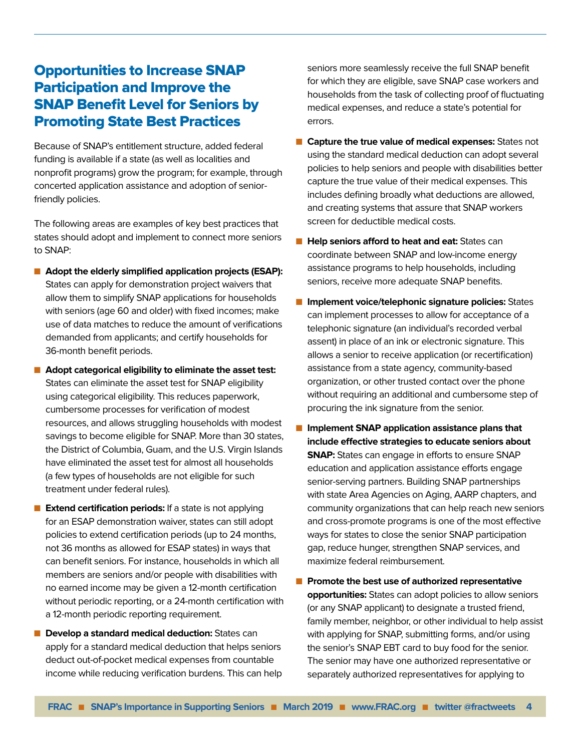# Opportunities to Increase SNAP Participation and Improve the SNAP Benefit Level for Seniors by Promoting State Best Practices

Because of SNAP's entitlement structure, added federal funding is available if a state (as well as localities and nonprofit programs) grow the program; for example, through concerted application assistance and adoption of seniorfriendly policies.

The following areas are examples of key best practices that states should adopt and implement to connect more seniors to SNAP:

- Adopt the elderly simplified application projects (ESAP): States can apply for demonstration project waivers that allow them to simplify SNAP applications for households with seniors (age 60 and older) with fixed incomes; make use of data matches to reduce the amount of verifications demanded from applicants; and certify households for 36-month benefit periods.
- Adopt categorical eligibility to eliminate the asset test: States can eliminate the asset test for SNAP eligibility using categorical eligibility. This reduces paperwork, cumbersome processes for verification of modest resources, and allows struggling households with modest savings to become eligible for SNAP. More than 30 states, the District of Columbia, Guam, and the U.S. Virgin Islands have eliminated the asset test for almost all households (a few types of households are not eligible for such treatment under federal rules).
- **Extend certification periods:** If a state is not applying for an ESAP demonstration waiver, states can still adopt policies to extend certification periods (up to 24 months, not 36 months as allowed for ESAP states) in ways that can benefit seniors. For instance, households in which all members are seniors and/or people with disabilities with no earned income may be given a 12-month certification without periodic reporting, or a 24-month certification with a 12-month periodic reporting requirement.
- **n Develop a standard medical deduction:** States can apply for a standard medical deduction that helps seniors deduct out-of-pocket medical expenses from countable income while reducing verification burdens. This can help

seniors more seamlessly receive the full SNAP benefit for which they are eligible, save SNAP case workers and households from the task of collecting proof of fluctuating medical expenses, and reduce a state's potential for errors.

- n **Capture the true value of medical expenses:** States not using the standard medical deduction can adopt several policies to help seniors and people with disabilities better capture the true value of their medical expenses. This includes defining broadly what deductions are allowed, and creating systems that assure that SNAP workers screen for deductible medical costs.
- **n** Help seniors afford to heat and eat: States can coordinate between SNAP and low-income energy assistance programs to help households, including seniors, receive more adequate SNAP benefits.
- **n Implement voice/telephonic signature policies:** States can implement processes to allow for acceptance of a telephonic signature (an individual's recorded verbal assent) in place of an ink or electronic signature. This allows a senior to receive application (or recertification) assistance from a state agency, community-based organization, or other trusted contact over the phone without requiring an additional and cumbersome step of procuring the ink signature from the senior.
- **n** Implement SNAP application assistance plans that **include effective strategies to educate seniors about SNAP:** States can engage in efforts to ensure SNAP education and application assistance efforts engage senior-serving partners. Building SNAP partnerships with state Area Agencies on Aging, AARP chapters, and community organizations that can help reach new seniors and cross-promote programs is one of the most effective ways for states to close the senior SNAP participation gap, reduce hunger, strengthen SNAP services, and maximize federal reimbursement.
- **n** Promote the best use of authorized representative **opportunities:** States can adopt policies to allow seniors (or any SNAP applicant) to designate a trusted friend, family member, neighbor, or other individual to help assist with applying for SNAP, submitting forms, and/or using the senior's SNAP EBT card to buy food for the senior. The senior may have one authorized representative or separately authorized representatives for applying to